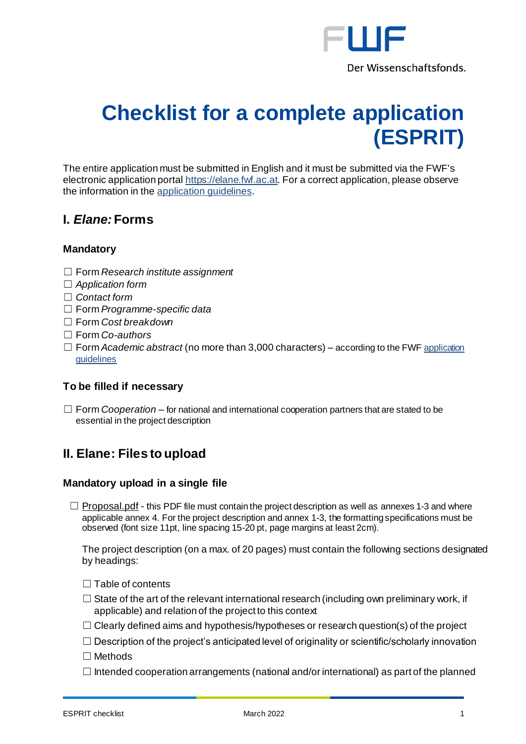

# **Checklist for a complete application (ESPRIT)**

The entire application must be submitted in English and it must be submitted via the FWF's electronic application porta[l https://elane.fwf.ac.at](https://elane.fwf.ac.at/). For a correct application, please observe the information in th[e application](https://www.fwf.ac.at/fileadmin/files/Dokumente/Antragstellung/ESPRIT/esp_application-guidelines.pdf) guidelines.

## **I.** *Elane:* **Forms**

## **Mandatory**

- ☐ Form *Research institute assignment*
- ☐ *Application form*
- ☐ *Contact form*
- ☐ Form *Programme-specific data*
- ☐ Form *Cost breakdown*
- ☐ Form *Co-authors*
- ☐ Form *Academic abstract* (no more than 3,000 characters) according to the FW[F application](https://www.fwf.ac.at/fileadmin/files/Dokumente/Antragstellung/ESPRIT/esp_application-guidelines.pdf) [guidelines](https://www.fwf.ac.at/fileadmin/files/Dokumente/Antragstellung/ESPRIT/esp_application-guidelines.pdf)

## **To be filled if necessary**

☐ Form *Cooperation* – for national and international cooperation partners that are stated to be essential in the project description

# **II. Elane: Files to upload**

## **Mandatory upload in a single file**

 $\Box$  Proposal.pdf - this PDF file must contain the project description as well as annexes 1-3 and where applicable annex 4. For the project description and annex 1-3, the formatting specifications must be observed (font size 11pt, line spacing 15-20 pt, page margins at least 2cm).

The project description (on a max. of 20 pages) must contain the following sections designated by headings:

- $\Box$  Table of contents
- $\Box$  State of the art of the relevant international research (including own preliminary work, if applicable) and relation of the project to this context
- $\Box$  Clearly defined aims and hypothesis/hypotheses or research question(s) of the project
- $\Box$  Description of the project's anticipated level of originality or scientific/scholarly innovation

☐ Methods

 $\Box$  Intended cooperation arrangements (national and/or international) as part of the planned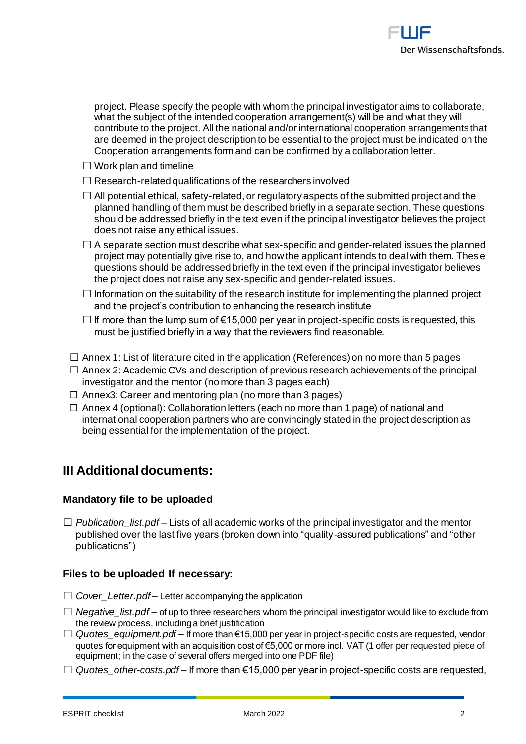project. Please specify the people with whom the principal investigator aims to collaborate, what the subject of the intended cooperation arrangement(s) will be and what they will contribute to the project. All the national and/or international cooperation arrangements that are deemed in the project description to be essential to the project must be indicated on the Cooperation arrangements form and can be confirmed by a collaboration letter.

- $\Box$  Work plan and timeline
- $\Box$  Research-related qualifications of the researchers involved
- $\Box$  All potential ethical, safety-related, or regulatory aspects of the submitted project and the planned handling of them must be described briefly in a separate section. These questions should be addressed briefly in the text even if the principal investigator believes the project does not raise any ethical issues.
- $\Box$  A separate section must describe what sex-specific and gender-related issues the planned project may potentially give rise to, and how the applicant intends to deal with them. These questions should be addressed briefly in the text even if the principal investigator believes the project does not raise any sex-specific and gender-related issues.
- $\Box$  Information on the suitability of the research institute for implementing the planned project and the project's contribution to enhancing the research institute
- $\Box$  If more than the lump sum of  $\epsilon$ 15,000 per year in project-specific costs is requested, this must be justified briefly in a way that the reviewers find reasonable.
- $\Box$  Annex 1: List of literature cited in the application (References) on no more than 5 pages
- $\Box$  Annex 2: Academic CVs and description of previous research achievements of the principal investigator and the mentor (no more than 3 pages each)
- $\Box$  Annex3: Career and mentoring plan (no more than 3 pages)
- □ Annex 4 (optional): Collaboration letters (each no more than 1 page) of national and international cooperation partners who are convincingly stated in the project description as being essential for the implementation of the project.

## **III Additional documents:**

## **Mandatory file to be uploaded**

 $\Box$  *Publication list.pdf* – Lists of all academic works of the principal investigator and the mentor published over the last five years (broken down into "quality-assured publications" and "other publications")

## **Files to be uploaded If necessary:**

- □ *Cover* Letter.pdf Letter accompanying the application
- ☐ *Negative\_list.pdf* of up to three researchers whom the principal investigator would like to exclude from the review process, including a brief justification
- ☐ *Quotes\_equipment.pdf* If more than €15,000 per year in project-specific costs are requested, vendor quotes for equipment with an acquisition cost of €5,000 or more incl. VAT (1 offer per requested piece of equipment; in the case of several offers merged into one PDF file)
- ☐ *Quotes\_other-costs.pdf* If more than €15,000 per year in project-specific costs are requested,